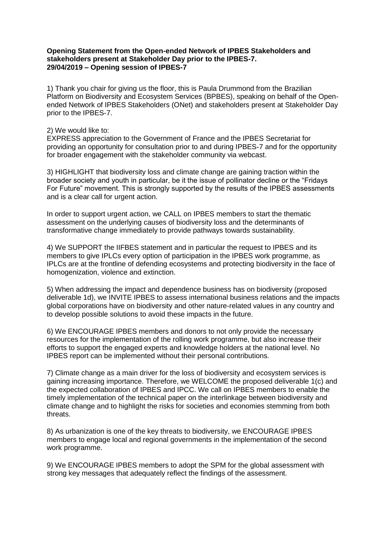## **Opening Statement from the Open-ended Network of IPBES Stakeholders and stakeholders present at Stakeholder Day prior to the IPBES-7. 29/04/2019 – Opening session of IPBES-7**

1) Thank you chair for giving us the floor, this is Paula Drummond from the Brazilian Platform on Biodiversity and Ecosystem Services (BPBES), speaking on behalf of the Openended Network of IPBES Stakeholders (ONet) and stakeholders present at Stakeholder Day prior to the IPBES-7.

## 2) We would like to:

EXPRESS appreciation to the Government of France and the IPBES Secretariat for providing an opportunity for consultation prior to and during IPBES-7 and for the opportunity for broader engagement with the stakeholder community via webcast.

3) HIGHLIGHT that biodiversity loss and climate change are gaining traction within the broader society and youth in particular, be it the issue of pollinator decline or the "Fridays For Future" movement. This is strongly supported by the results of the IPBES assessments and is a clear call for urgent action.

In order to support urgent action, we CALL on IPBES members to start the thematic assessment on the underlying causes of biodiversity loss and the determinants of transformative change immediately to provide pathways towards sustainability.

4) We SUPPORT the IIFBES statement and in particular the request to IPBES and its members to give IPLCs every option of participation in the IPBES work programme, as IPLCs are at the frontline of defending ecosystems and protecting biodiversity in the face of homogenization, violence and extinction.

5) When addressing the impact and dependence business has on biodiversity (proposed deliverable 1d), we INVITE IPBES to assess international business relations and the impacts global corporations have on biodiversity and other nature-related values in any country and to develop possible solutions to avoid these impacts in the future.

6) We ENCOURAGE IPBES members and donors to not only provide the necessary resources for the implementation of the rolling work programme, but also increase their efforts to support the engaged experts and knowledge holders at the national level. No IPBES report can be implemented without their personal contributions.

7) Climate change as a main driver for the loss of biodiversity and ecosystem services is gaining increasing importance. Therefore, we WELCOME the proposed deliverable 1(c) and the expected collaboration of IPBES and IPCC. We call on IPBES members to enable the timely implementation of the technical paper on the interlinkage between biodiversity and climate change and to highlight the risks for societies and economies stemming from both threats.

8) As urbanization is one of the key threats to biodiversity, we ENCOURAGE IPBES members to engage local and regional governments in the implementation of the second work programme.

9) We ENCOURAGE IPBES members to adopt the SPM for the global assessment with strong key messages that adequately reflect the findings of the assessment.